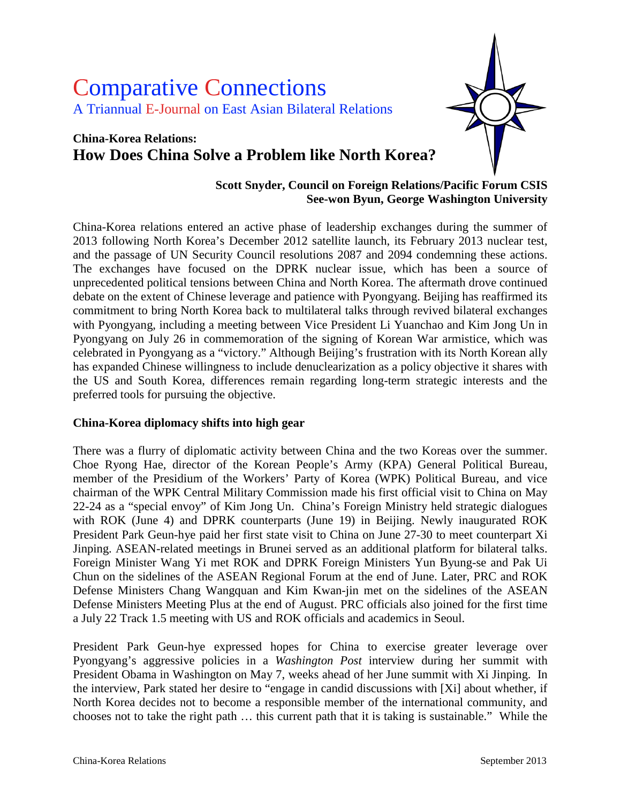# Comparative Connections A Triannual E-Journal on East Asian Bilateral Relations

## **China-Korea Relations: How Does China Solve a Problem like North Korea?**



#### **Scott Snyder, Council on Foreign Relations/Pacific Forum CSIS See-won Byun, George Washington University**

China-Korea relations entered an active phase of leadership exchanges during the summer of 2013 following North Korea's December 2012 satellite launch, its February 2013 nuclear test, and the passage of UN Security Council resolutions 2087 and 2094 condemning these actions. The exchanges have focused on the DPRK nuclear issue, which has been a source of unprecedented political tensions between China and North Korea. The aftermath drove continued debate on the extent of Chinese leverage and patience with Pyongyang. Beijing has reaffirmed its commitment to bring North Korea back to multilateral talks through revived bilateral exchanges with Pyongyang, including a meeting between Vice President Li Yuanchao and Kim Jong Un in Pyongyang on July 26 in commemoration of the signing of Korean War armistice, which was celebrated in Pyongyang as a "victory." Although Beijing's frustration with its North Korean ally has expanded Chinese willingness to include denuclearization as a policy objective it shares with the US and South Korea, differences remain regarding long-term strategic interests and the preferred tools for pursuing the objective.

#### **China-Korea diplomacy shifts into high gear**

There was a flurry of diplomatic activity between China and the two Koreas over the summer. Choe Ryong Hae, director of the Korean People's Army (KPA) General Political Bureau, member of the Presidium of the Workers' Party of Korea (WPK) Political Bureau, and vice chairman of the WPK Central Military Commission made his first official visit to China on May 22-24 as a "special envoy" of Kim Jong Un. China's Foreign Ministry held strategic dialogues with ROK (June 4) and DPRK counterparts (June 19) in Beijing. Newly inaugurated ROK President Park Geun-hye paid her first state visit to China on June 27-30 to meet counterpart Xi Jinping. ASEAN-related meetings in Brunei served as an additional platform for bilateral talks. Foreign Minister Wang Yi met ROK and DPRK Foreign Ministers Yun Byung-se and Pak Ui Chun on the sidelines of the ASEAN Regional Forum at the end of June. Later, PRC and ROK Defense Ministers Chang Wangquan and Kim Kwan-jin met on the sidelines of the ASEAN Defense Ministers Meeting Plus at the end of August. PRC officials also joined for the first time a July 22 Track 1.5 meeting with US and ROK officials and academics in Seoul.

President Park Geun-hye expressed hopes for China to exercise greater leverage over Pyongyang's aggressive policies in a *Washington Post* interview during her summit with President Obama in Washington on May 7, weeks ahead of her June summit with Xi Jinping. In the interview, Park stated her desire to "engage in candid discussions with [Xi] about whether, if North Korea decides not to become a responsible member of the international community, and chooses not to take the right path … this current path that it is taking is sustainable." While the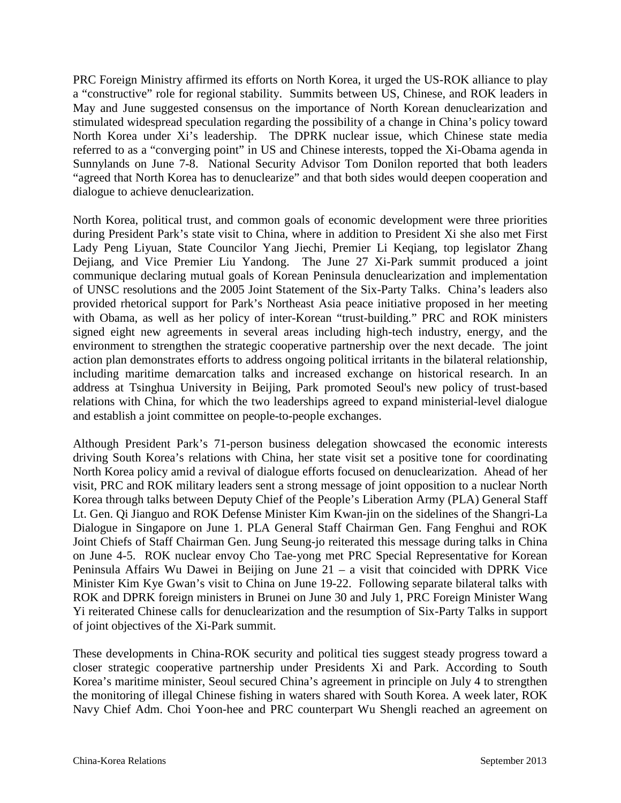PRC Foreign Ministry affirmed its efforts on North Korea, it urged the US-ROK alliance to play a "constructive" role for regional stability. Summits between US, Chinese, and ROK leaders in May and June suggested consensus on the importance of North Korean denuclearization and stimulated widespread speculation regarding the possibility of a change in China's policy toward North Korea under Xi's leadership. The DPRK nuclear issue, which Chinese state media referred to as a "converging point" in US and Chinese interests, topped the Xi-Obama agenda in Sunnylands on June 7-8. National Security Advisor Tom Donilon reported that both leaders "agreed that North Korea has to denuclearize" and that both sides would deepen cooperation and dialogue to achieve denuclearization.

North Korea, political trust, and common goals of economic development were three priorities during President Park's state visit to China, where in addition to President Xi she also met First Lady Peng Liyuan, State Councilor Yang Jiechi, Premier Li Keqiang, top legislator Zhang Dejiang, and Vice Premier Liu Yandong. The June 27 Xi-Park summit produced a joint communique declaring mutual goals of Korean Peninsula denuclearization and implementation of UNSC resolutions and the 2005 Joint Statement of the Six-Party Talks. China's leaders also provided rhetorical support for Park's Northeast Asia peace initiative proposed in her meeting with Obama, as well as her policy of inter-Korean "trust-building." PRC and ROK ministers signed eight new agreements in several areas including high-tech industry, energy, and the environment to strengthen the strategic cooperative partnership over the next decade. The joint action plan demonstrates efforts to address ongoing political irritants in the bilateral relationship, including maritime demarcation talks and increased exchange on historical research. In an address at Tsinghua University in Beijing, Park promoted Seoul's new policy of trust-based relations with China, for which the two leaderships agreed to expand ministerial-level dialogue and establish a joint committee on people-to-people exchanges.

Although President Park's 71-person business delegation showcased the economic interests driving South Korea's relations with China, her state visit set a positive tone for coordinating North Korea policy amid a revival of dialogue efforts focused on denuclearization. Ahead of her visit, PRC and ROK military leaders sent a strong message of joint opposition to a nuclear North Korea through talks between Deputy Chief of the People's Liberation Army (PLA) General Staff Lt. Gen. Qi Jianguo and ROK Defense Minister Kim Kwan-jin on the sidelines of the Shangri-La Dialogue in Singapore on June 1. PLA General Staff Chairman Gen. Fang Fenghui and ROK Joint Chiefs of Staff Chairman Gen. Jung Seung-jo reiterated this message during talks in China on June 4-5. ROK nuclear envoy Cho Tae-yong met PRC Special Representative for Korean Peninsula Affairs Wu Dawei in Beijing on June 21 – a visit that coincided with DPRK Vice Minister Kim Kye Gwan's visit to China on June 19-22. Following separate bilateral talks with ROK and DPRK foreign ministers in Brunei on June 30 and July 1, PRC Foreign Minister Wang Yi reiterated Chinese calls for denuclearization and the resumption of Six-Party Talks in support of joint objectives of the Xi-Park summit.

These developments in China-ROK security and political ties suggest steady progress toward a closer strategic cooperative partnership under Presidents Xi and Park. According to South Korea's maritime minister, Seoul secured China's agreement in principle on July 4 to strengthen the monitoring of illegal Chinese fishing in waters shared with South Korea. A week later, ROK Navy Chief Adm. Choi Yoon-hee and PRC counterpart Wu Shengli reached an agreement on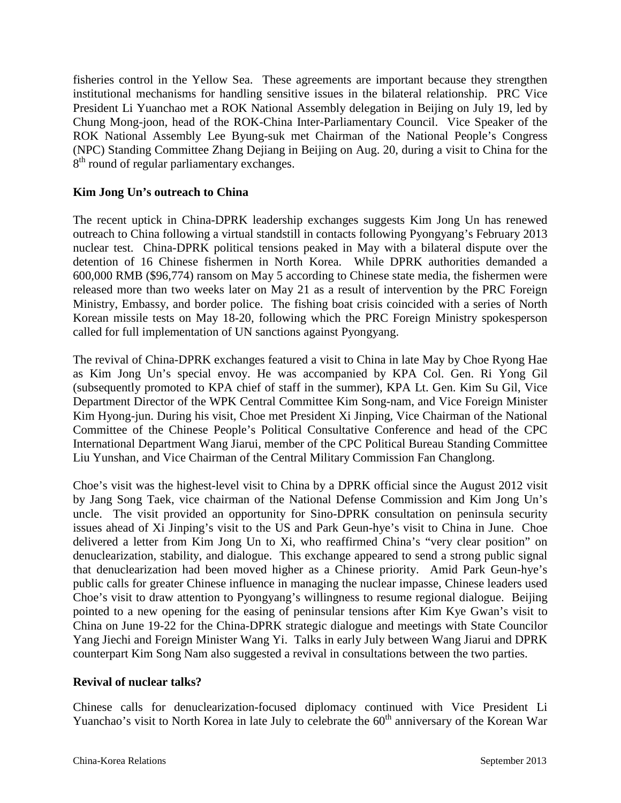fisheries control in the Yellow Sea. These agreements are important because they strengthen institutional mechanisms for handling sensitive issues in the bilateral relationship. PRC Vice President Li Yuanchao met a ROK National Assembly delegation in Beijing on July 19, led by Chung Mong-joon, head of the ROK-China Inter-Parliamentary Council. Vice Speaker of the ROK National Assembly Lee Byung-suk met Chairman of the National People's Congress (NPC) Standing Committee Zhang Dejiang in Beijing on Aug. 20, during a visit to China for the 8<sup>th</sup> round of regular parliamentary exchanges.

#### **Kim Jong Un's outreach to China**

The recent uptick in China-DPRK leadership exchanges suggests Kim Jong Un has renewed outreach to China following a virtual standstill in contacts following Pyongyang's February 2013 nuclear test. China-DPRK political tensions peaked in May with a bilateral dispute over the detention of 16 Chinese fishermen in North Korea. While DPRK authorities demanded a 600,000 RMB (\$96,774) ransom on May 5 according to Chinese state media, the fishermen were released more than two weeks later on May 21 as a result of intervention by the PRC Foreign Ministry, Embassy, and border police. The fishing boat crisis coincided with a series of North Korean missile tests on May 18-20, following which the PRC Foreign Ministry spokesperson called for full implementation of UN sanctions against Pyongyang.

The revival of China-DPRK exchanges featured a visit to China in late May by Choe Ryong Hae as Kim Jong Un's special envoy. He was accompanied by KPA Col. Gen. Ri Yong Gil (subsequently promoted to KPA chief of staff in the summer), KPA Lt. Gen. Kim Su Gil, Vice Department Director of the WPK Central Committee Kim Song-nam, and Vice Foreign Minister Kim Hyong-jun. During his visit, Choe met President Xi Jinping, Vice Chairman of the National Committee of the Chinese People's Political Consultative Conference and head of the CPC International Department Wang Jiarui, member of the CPC Political Bureau Standing Committee Liu Yunshan, and Vice Chairman of the Central Military Commission Fan Changlong.

Choe's visit was the highest-level visit to China by a DPRK official since the August 2012 visit by Jang Song Taek, vice chairman of the National Defense Commission and Kim Jong Un's uncle. The visit provided an opportunity for Sino-DPRK consultation on peninsula security issues ahead of Xi Jinping's visit to the US and Park Geun-hye's visit to China in June. Choe delivered a letter from Kim Jong Un to Xi, who reaffirmed China's "very clear position" on denuclearization, stability, and dialogue. This exchange appeared to send a strong public signal that denuclearization had been moved higher as a Chinese priority. Amid Park Geun-hye's public calls for greater Chinese influence in managing the nuclear impasse, Chinese leaders used Choe's visit to draw attention to Pyongyang's willingness to resume regional dialogue. Beijing pointed to a new opening for the easing of peninsular tensions after Kim Kye Gwan's visit to China on June 19-22 for the China-DPRK strategic dialogue and meetings with State Councilor Yang Jiechi and Foreign Minister Wang Yi. Talks in early July between Wang Jiarui and DPRK counterpart Kim Song Nam also suggested a revival in consultations between the two parties.

#### **Revival of nuclear talks?**

Chinese calls for denuclearization-focused diplomacy continued with Vice President Li Yuanchao's visit to North Korea in late July to celebrate the 60<sup>th</sup> anniversary of the Korean War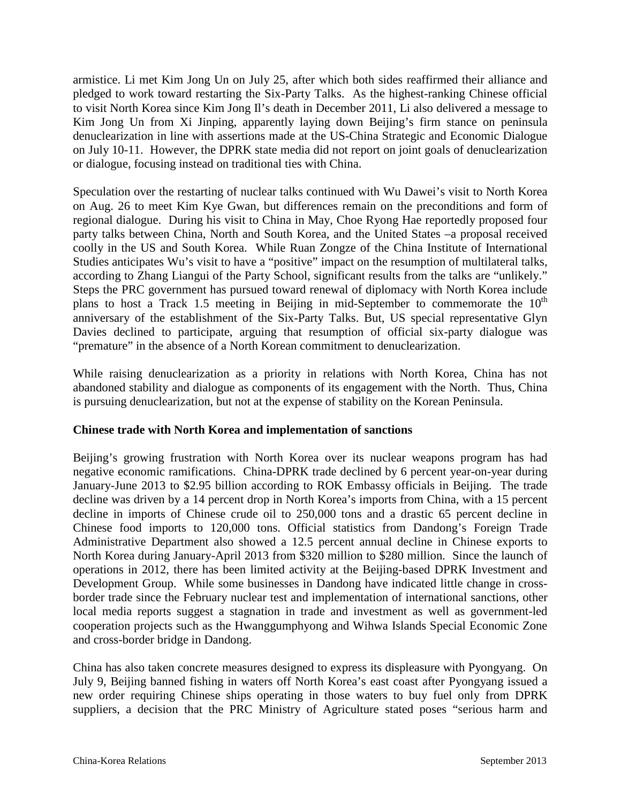armistice. Li met Kim Jong Un on July 25, after which both sides reaffirmed their alliance and pledged to work toward restarting the Six-Party Talks. As the highest-ranking Chinese official to visit North Korea since Kim Jong Il's death in December 2011, Li also delivered a message to Kim Jong Un from Xi Jinping, apparently laying down Beijing's firm stance on peninsula denuclearization in line with assertions made at the US-China Strategic and Economic Dialogue on July 10-11. However, the DPRK state media did not report on joint goals of denuclearization or dialogue, focusing instead on traditional ties with China.

Speculation over the restarting of nuclear talks continued with Wu Dawei's visit to North Korea on Aug. 26 to meet Kim Kye Gwan, but differences remain on the preconditions and form of regional dialogue. During his visit to China in May, Choe Ryong Hae reportedly proposed four party talks between China, North and South Korea, and the United States –a proposal received coolly in the US and South Korea. While Ruan Zongze of the China Institute of International Studies anticipates Wu's visit to have a "positive" impact on the resumption of multilateral talks, according to Zhang Liangui of the Party School, significant results from the talks are "unlikely." Steps the PRC government has pursued toward renewal of diplomacy with North Korea include plans to host a Track 1.5 meeting in Beijing in mid-September to commemorate the  $10<sup>th</sup>$ anniversary of the establishment of the Six-Party Talks. But, US special representative Glyn Davies declined to participate, arguing that resumption of official six-party dialogue was "premature" in the absence of a North Korean commitment to denuclearization.

While raising denuclearization as a priority in relations with North Korea, China has not abandoned stability and dialogue as components of its engagement with the North. Thus, China is pursuing denuclearization, but not at the expense of stability on the Korean Peninsula.

#### **Chinese trade with North Korea and implementation of sanctions**

Beijing's growing frustration with North Korea over its nuclear weapons program has had negative economic ramifications. China-DPRK trade declined by 6 percent year-on-year during January-June 2013 to \$2.95 billion according to ROK Embassy officials in Beijing. The trade decline was driven by a 14 percent drop in North Korea's imports from China, with a 15 percent decline in imports of Chinese crude oil to 250,000 tons and a drastic 65 percent decline in Chinese food imports to 120,000 tons. Official statistics from Dandong's Foreign Trade Administrative Department also showed a 12.5 percent annual decline in Chinese exports to North Korea during January-April 2013 from \$320 million to \$280 million. Since the launch of operations in 2012, there has been limited activity at the Beijing-based DPRK Investment and Development Group. While some businesses in Dandong have indicated little change in crossborder trade since the February nuclear test and implementation of international sanctions, other local media reports suggest a stagnation in trade and investment as well as government-led cooperation projects such as the Hwanggumphyong and Wihwa Islands Special Economic Zone and cross-border bridge in Dandong.

China has also taken concrete measures designed to express its displeasure with Pyongyang. On July 9, Beijing banned fishing in waters off North Korea's east coast after Pyongyang issued a new order requiring Chinese ships operating in those waters to buy fuel only from DPRK suppliers, a decision that the PRC Ministry of Agriculture stated poses "serious harm and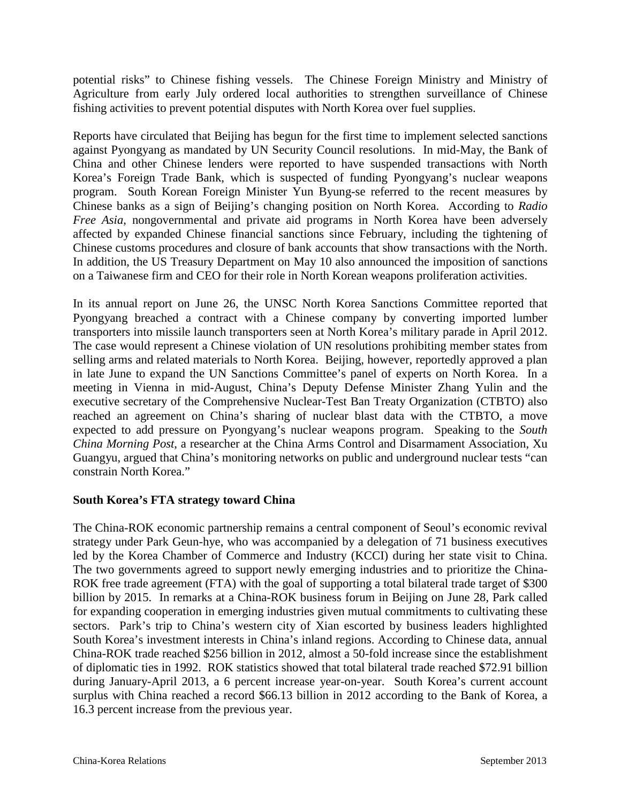potential risks" to Chinese fishing vessels. The Chinese Foreign Ministry and Ministry of Agriculture from early July ordered local authorities to strengthen surveillance of Chinese fishing activities to prevent potential disputes with North Korea over fuel supplies.

Reports have circulated that Beijing has begun for the first time to implement selected sanctions against Pyongyang as mandated by UN Security Council resolutions. In mid-May, the Bank of China and other Chinese lenders were reported to have suspended transactions with North Korea's Foreign Trade Bank, which is suspected of funding Pyongyang's nuclear weapons program. South Korean Foreign Minister Yun Byung-se referred to the recent measures by Chinese banks as a sign of Beijing's changing position on North Korea. According to *Radio Free Asia*, nongovernmental and private aid programs in North Korea have been adversely affected by expanded Chinese financial sanctions since February, including the tightening of Chinese customs procedures and closure of bank accounts that show transactions with the North. In addition, the US Treasury Department on May 10 also announced the imposition of sanctions on a Taiwanese firm and CEO for their role in North Korean weapons proliferation activities.

In its annual report on June 26, the UNSC North Korea Sanctions Committee reported that Pyongyang breached a contract with a Chinese company by converting imported lumber transporters into missile launch transporters seen at North Korea's military parade in April 2012. The case would represent a Chinese violation of UN resolutions prohibiting member states from selling arms and related materials to North Korea. Beijing, however, reportedly approved a plan in late June to expand the UN Sanctions Committee's panel of experts on North Korea. In a meeting in Vienna in mid-August, China's Deputy Defense Minister Zhang Yulin and the executive secretary of the Comprehensive Nuclear-Test Ban Treaty Organization (CTBTO) also reached an agreement on China's sharing of nuclear blast data with the CTBTO, a move expected to add pressure on Pyongyang's nuclear weapons program. Speaking to the *South China Morning Post*, a researcher at the China Arms Control and Disarmament Association, Xu Guangyu, argued that China's monitoring networks on public and underground nuclear tests "can constrain North Korea."

#### **South Korea's FTA strategy toward China**

The China-ROK economic partnership remains a central component of Seoul's economic revival strategy under Park Geun-hye, who was accompanied by a delegation of 71 business executives led by the Korea Chamber of Commerce and Industry (KCCI) during her state visit to China. The two governments agreed to support newly emerging industries and to prioritize the China-ROK free trade agreement (FTA) with the goal of supporting a total bilateral trade target of \$300 billion by 2015. In remarks at a China-ROK business forum in Beijing on June 28, Park called for expanding cooperation in emerging industries given mutual commitments to cultivating these sectors. Park's trip to China's western city of Xian escorted by business leaders highlighted South Korea's investment interests in China's inland regions. According to Chinese data, annual China-ROK trade reached \$256 billion in 2012, almost a 50-fold increase since the establishment of diplomatic ties in 1992. ROK statistics showed that total bilateral trade reached \$72.91 billion during January-April 2013, a 6 percent increase year-on-year. South Korea's current account surplus with China reached a record \$66.13 billion in 2012 according to the Bank of Korea, a 16.3 percent increase from the previous year.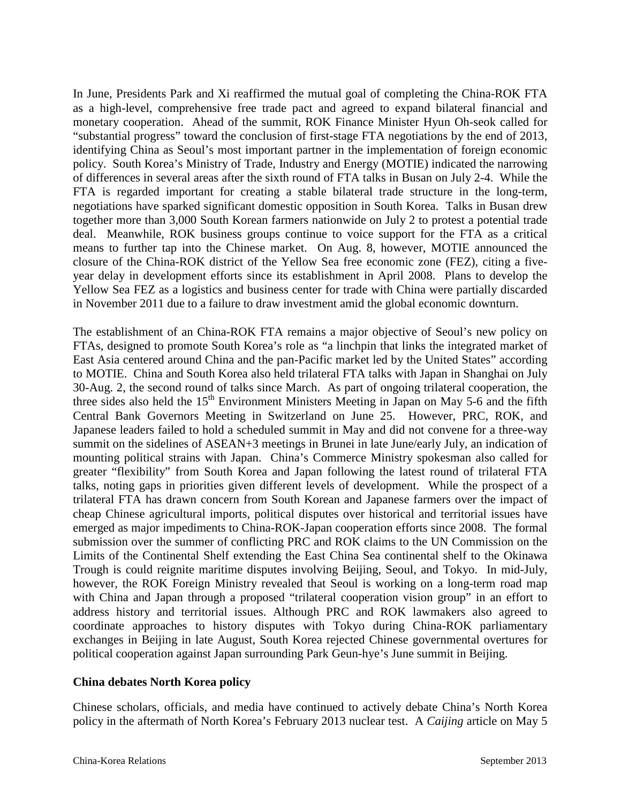In June, Presidents Park and Xi reaffirmed the mutual goal of completing the China-ROK FTA as a high-level, comprehensive free trade pact and agreed to expand bilateral financial and monetary cooperation. Ahead of the summit, ROK Finance Minister Hyun Oh-seok called for "substantial progress" toward the conclusion of first-stage FTA negotiations by the end of 2013, identifying China as Seoul's most important partner in the implementation of foreign economic policy. South Korea's Ministry of Trade, Industry and Energy (MOTIE) indicated the narrowing of differences in several areas after the sixth round of FTA talks in Busan on July 2-4. While the FTA is regarded important for creating a stable bilateral trade structure in the long-term, negotiations have sparked significant domestic opposition in South Korea. Talks in Busan drew together more than 3,000 South Korean farmers nationwide on July 2 to protest a potential trade deal. Meanwhile, ROK business groups continue to voice support for the FTA as a critical means to further tap into the Chinese market. On Aug. 8, however, MOTIE announced the closure of the China-ROK district of the Yellow Sea free economic zone (FEZ), citing a fiveyear delay in development efforts since its establishment in April 2008. Plans to develop the Yellow Sea FEZ as a logistics and business center for trade with China were partially discarded in November 2011 due to a failure to draw investment amid the global economic downturn.

The establishment of an China-ROK FTA remains a major objective of Seoul's new policy on FTAs, designed to promote South Korea's role as "a linchpin that links the integrated market of East Asia centered around China and the pan-Pacific market led by the United States" according to MOTIE. China and South Korea also held trilateral FTA talks with Japan in Shanghai on July 30-Aug. 2, the second round of talks since March. As part of ongoing trilateral cooperation, the three sides also held the  $15<sup>th</sup>$  Environment Ministers Meeting in Japan on May 5-6 and the fifth Central Bank Governors Meeting in Switzerland on June 25. However, PRC, ROK, and Japanese leaders failed to hold a scheduled summit in May and did not convene for a three-way summit on the sidelines of ASEAN+3 meetings in Brunei in late June/early July, an indication of mounting political strains with Japan. China's Commerce Ministry spokesman also called for greater "flexibility" from South Korea and Japan following the latest round of trilateral FTA talks, noting gaps in priorities given different levels of development. While the prospect of a trilateral FTA has drawn concern from South Korean and Japanese farmers over the impact of cheap Chinese agricultural imports, political disputes over historical and territorial issues have emerged as major impediments to China-ROK-Japan cooperation efforts since 2008. The formal submission over the summer of conflicting PRC and ROK claims to the UN Commission on the Limits of the Continental Shelf extending the East China Sea continental shelf to the Okinawa Trough is could reignite maritime disputes involving Beijing, Seoul, and Tokyo. In mid-July, however, the ROK Foreign Ministry revealed that Seoul is working on a long-term road map with China and Japan through a proposed "trilateral cooperation vision group" in an effort to address history and territorial issues. Although PRC and ROK lawmakers also agreed to coordinate approaches to history disputes with Tokyo during China-ROK parliamentary exchanges in Beijing in late August, South Korea rejected Chinese governmental overtures for political cooperation against Japan surrounding Park Geun-hye's June summit in Beijing.

#### **China debates North Korea policy**

Chinese scholars, officials, and media have continued to actively debate China's North Korea policy in the aftermath of North Korea's February 2013 nuclear test. A *Caijing* article on May 5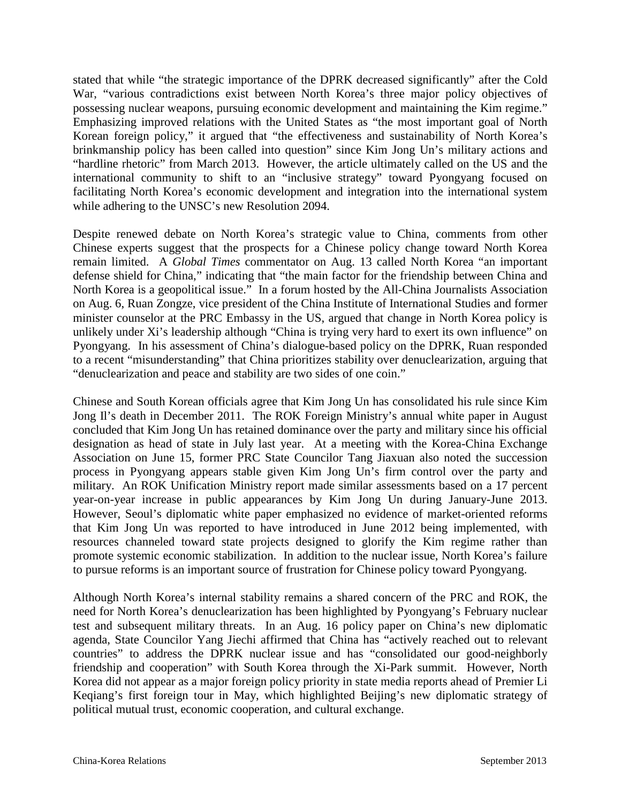stated that while "the strategic importance of the DPRK decreased significantly" after the Cold War, "various contradictions exist between North Korea's three major policy objectives of possessing nuclear weapons, pursuing economic development and maintaining the Kim regime." Emphasizing improved relations with the United States as "the most important goal of North Korean foreign policy," it argued that "the effectiveness and sustainability of North Korea's brinkmanship policy has been called into question" since Kim Jong Un's military actions and "hardline rhetoric" from March 2013. However, the article ultimately called on the US and the international community to shift to an "inclusive strategy" toward Pyongyang focused on facilitating North Korea's economic development and integration into the international system while adhering to the UNSC's new Resolution 2094.

Despite renewed debate on North Korea's strategic value to China, comments from other Chinese experts suggest that the prospects for a Chinese policy change toward North Korea remain limited. A *Global Times* commentator on Aug. 13 called North Korea "an important defense shield for China," indicating that "the main factor for the friendship between China and North Korea is a geopolitical issue." In a forum hosted by the All-China Journalists Association on Aug. 6, Ruan Zongze, vice president of the China Institute of International Studies and former minister counselor at the PRC Embassy in the US, argued that change in North Korea policy is unlikely under Xi's leadership although "China is trying very hard to exert its own influence" on Pyongyang. In his assessment of China's dialogue-based policy on the DPRK, Ruan responded to a recent "misunderstanding" that China prioritizes stability over denuclearization, arguing that "denuclearization and peace and stability are two sides of one coin."

Chinese and South Korean officials agree that Kim Jong Un has consolidated his rule since Kim Jong Il's death in December 2011. The ROK Foreign Ministry's annual white paper in August concluded that Kim Jong Un has retained dominance over the party and military since his official designation as head of state in July last year. At a meeting with the Korea-China Exchange Association on June 15, former PRC State Councilor Tang Jiaxuan also noted the succession process in Pyongyang appears stable given Kim Jong Un's firm control over the party and military. An ROK Unification Ministry report made similar assessments based on a 17 percent year-on-year increase in public appearances by Kim Jong Un during January-June 2013. However, Seoul's diplomatic white paper emphasized no evidence of market-oriented reforms that Kim Jong Un was reported to have introduced in June 2012 being implemented, with resources channeled toward state projects designed to glorify the Kim regime rather than promote systemic economic stabilization. In addition to the nuclear issue, North Korea's failure to pursue reforms is an important source of frustration for Chinese policy toward Pyongyang.

Although North Korea's internal stability remains a shared concern of the PRC and ROK, the need for North Korea's denuclearization has been highlighted by Pyongyang's February nuclear test and subsequent military threats. In an Aug. 16 policy paper on China's new diplomatic agenda, State Councilor Yang Jiechi affirmed that China has "actively reached out to relevant countries" to address the DPRK nuclear issue and has "consolidated our good-neighborly friendship and cooperation" with South Korea through the Xi-Park summit. However, North Korea did not appear as a major foreign policy priority in state media reports ahead of Premier Li Keqiang's first foreign tour in May, which highlighted Beijing's new diplomatic strategy of political mutual trust, economic cooperation, and cultural exchange.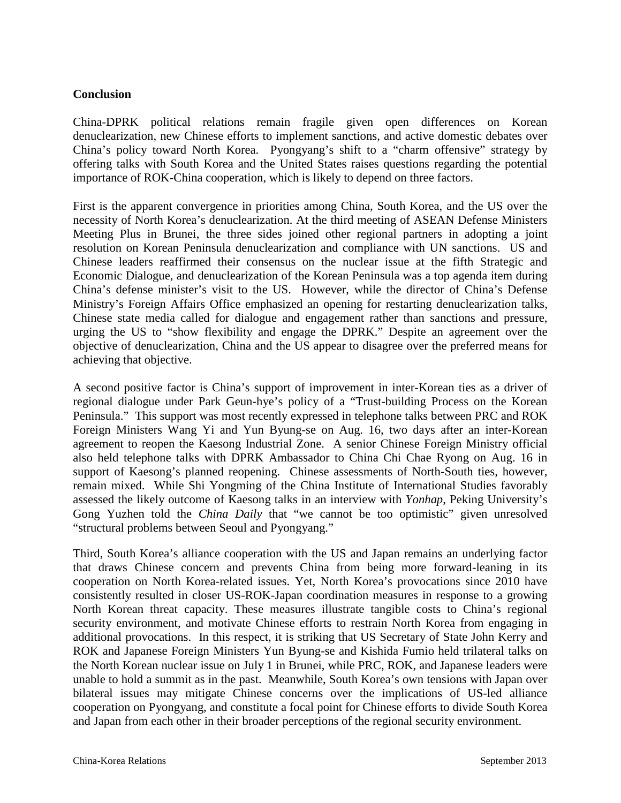#### **Conclusion**

China-DPRK political relations remain fragile given open differences on Korean denuclearization, new Chinese efforts to implement sanctions, and active domestic debates over China's policy toward North Korea. Pyongyang's shift to a "charm offensive" strategy by offering talks with South Korea and the United States raises questions regarding the potential importance of ROK-China cooperation, which is likely to depend on three factors.

First is the apparent convergence in priorities among China, South Korea, and the US over the necessity of North Korea's denuclearization. At the third meeting of ASEAN Defense Ministers Meeting Plus in Brunei, the three sides joined other regional partners in adopting a joint resolution on Korean Peninsula denuclearization and compliance with UN sanctions. US and Chinese leaders reaffirmed their consensus on the nuclear issue at the fifth Strategic and Economic Dialogue, and denuclearization of the Korean Peninsula was a top agenda item during China's defense minister's visit to the US. However, while the director of China's Defense Ministry's Foreign Affairs Office emphasized an opening for restarting denuclearization talks, Chinese state media called for dialogue and engagement rather than sanctions and pressure, urging the US to "show flexibility and engage the DPRK." Despite an agreement over the objective of denuclearization, China and the US appear to disagree over the preferred means for achieving that objective.

A second positive factor is China's support of improvement in inter-Korean ties as a driver of regional dialogue under Park Geun-hye's policy of a "Trust-building Process on the Korean Peninsula." This support was most recently expressed in telephone talks between PRC and ROK Foreign Ministers Wang Yi and Yun Byung-se on Aug. 16, two days after an inter-Korean agreement to reopen the Kaesong Industrial Zone. A senior Chinese Foreign Ministry official also held telephone talks with DPRK Ambassador to China Chi Chae Ryong on Aug. 16 in support of Kaesong's planned reopening. Chinese assessments of North-South ties, however, remain mixed. While Shi Yongming of the China Institute of International Studies favorably assessed the likely outcome of Kaesong talks in an interview with *Yonhap*, Peking University's Gong Yuzhen told the *China Daily* that "we cannot be too optimistic" given unresolved "structural problems between Seoul and Pyongyang."

Third, South Korea's alliance cooperation with the US and Japan remains an underlying factor that draws Chinese concern and prevents China from being more forward-leaning in its cooperation on North Korea-related issues. Yet, North Korea's provocations since 2010 have consistently resulted in closer US-ROK-Japan coordination measures in response to a growing North Korean threat capacity. These measures illustrate tangible costs to China's regional security environment, and motivate Chinese efforts to restrain North Korea from engaging in additional provocations. In this respect, it is striking that US Secretary of State John Kerry and ROK and Japanese Foreign Ministers Yun Byung-se and Kishida Fumio held trilateral talks on the North Korean nuclear issue on July 1 in Brunei, while PRC, ROK, and Japanese leaders were unable to hold a summit as in the past. Meanwhile, South Korea's own tensions with Japan over bilateral issues may mitigate Chinese concerns over the implications of US-led alliance cooperation on Pyongyang, and constitute a focal point for Chinese efforts to divide South Korea and Japan from each other in their broader perceptions of the regional security environment.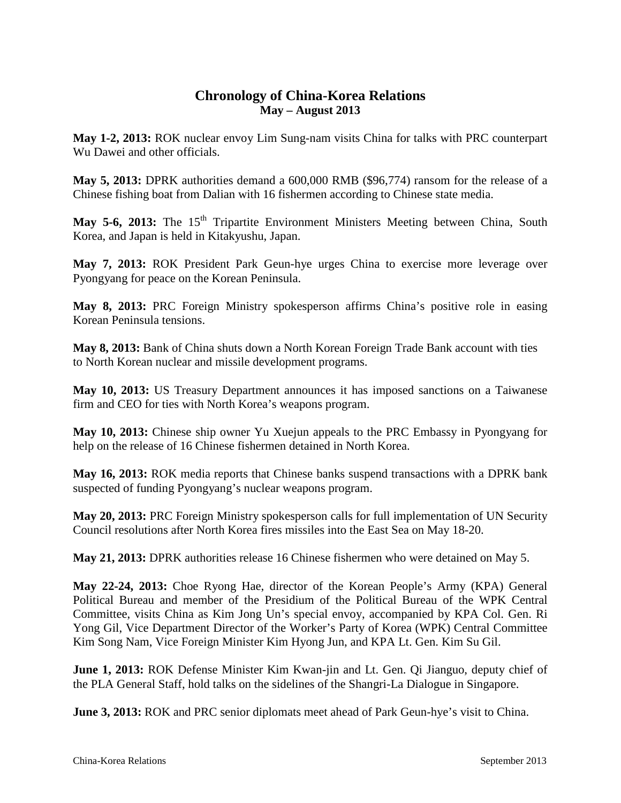### **Chronology of China-Korea Relations May – August 2013**

**May 1-2, 2013:** ROK nuclear envoy Lim Sung-nam visits China for talks with PRC counterpart Wu Dawei and other officials.

**May 5, 2013:** DPRK authorities demand a 600,000 RMB (\$96,774) ransom for the release of a Chinese fishing boat from Dalian with 16 fishermen according to Chinese state media.

May 5-6, 2013: The 15<sup>th</sup> Tripartite Environment Ministers Meeting between China, South Korea, and Japan is held in Kitakyushu, Japan.

**May 7, 2013:** ROK President Park Geun-hye urges China to exercise more leverage over Pyongyang for peace on the Korean Peninsula.

**May 8, 2013:** PRC Foreign Ministry spokesperson affirms China's positive role in easing Korean Peninsula tensions.

**May 8, 2013:** Bank of China shuts down a North Korean Foreign Trade Bank account with ties to North Korean nuclear and missile development programs.

**May 10, 2013:** US Treasury Department announces it has imposed sanctions on a Taiwanese firm and CEO for ties with North Korea's weapons program.

**May 10, 2013:** Chinese ship owner Yu Xuejun appeals to the PRC Embassy in Pyongyang for help on the release of 16 Chinese fishermen detained in North Korea.

**May 16, 2013:** ROK media reports that Chinese banks suspend transactions with a DPRK bank suspected of funding Pyongyang's nuclear weapons program.

**May 20, 2013:** PRC Foreign Ministry spokesperson calls for full implementation of UN Security Council resolutions after North Korea fires missiles into the East Sea on May 18-20.

**May 21, 2013:** DPRK authorities release 16 Chinese fishermen who were detained on May 5.

**May 22-24, 2013:** Choe Ryong Hae, director of the Korean People's Army (KPA) General Political Bureau and member of the Presidium of the Political Bureau of the WPK Central Committee, visits China as Kim Jong Un's special envoy, accompanied by KPA Col. Gen. Ri Yong Gil, Vice Department Director of the Worker's Party of Korea (WPK) Central Committee Kim Song Nam, Vice Foreign Minister Kim Hyong Jun, and KPA Lt. Gen. Kim Su Gil.

**June 1, 2013:** ROK Defense Minister Kim Kwan-jin and Lt. Gen. Qi Jianguo, deputy chief of the PLA General Staff, hold talks on the sidelines of the Shangri-La Dialogue in Singapore.

**June 3, 2013:** ROK and PRC senior diplomats meet ahead of Park Geun-hye's visit to China.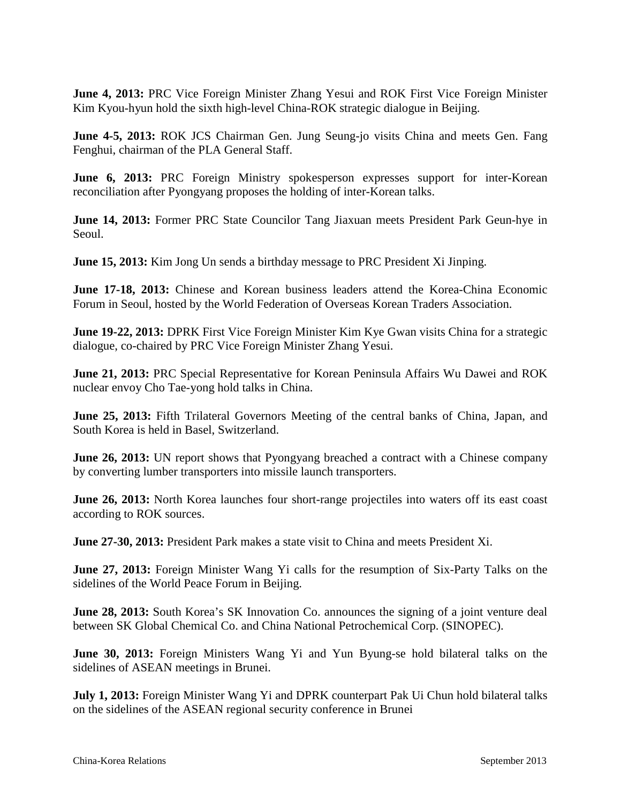**June 4, 2013:** PRC Vice Foreign Minister Zhang Yesui and ROK First Vice Foreign Minister Kim Kyou-hyun hold the sixth high-level China-ROK strategic dialogue in Beijing.

**June 4-5, 2013:** ROK JCS Chairman Gen. Jung Seung-jo visits China and meets Gen. Fang Fenghui, chairman of the PLA General Staff.

**June 6, 2013:** PRC Foreign Ministry spokesperson expresses support for inter-Korean reconciliation after Pyongyang proposes the holding of inter-Korean talks.

**June 14, 2013:** Former PRC State Councilor Tang Jiaxuan meets President Park Geun-hye in Seoul.

**June 15, 2013:** Kim Jong Un sends a birthday message to PRC President Xi Jinping.

**June 17-18, 2013:** Chinese and Korean business leaders attend the Korea-China Economic Forum in Seoul, hosted by the World Federation of Overseas Korean Traders Association.

**June 19-22, 2013:** DPRK First Vice Foreign Minister Kim Kye Gwan visits China for a strategic dialogue, co-chaired by PRC Vice Foreign Minister Zhang Yesui.

**June 21, 2013:** PRC Special Representative for Korean Peninsula Affairs Wu Dawei and ROK nuclear envoy Cho Tae-yong hold talks in China.

**June 25, 2013:** Fifth Trilateral Governors Meeting of the central banks of China, Japan, and South Korea is held in Basel, Switzerland.

**June 26, 2013:** UN report shows that Pyongyang breached a contract with a Chinese company by converting lumber transporters into missile launch transporters.

**June 26, 2013:** North Korea launches four short-range projectiles into waters off its east coast according to ROK sources.

**June 27-30, 2013:** President Park makes a state visit to China and meets President Xi.

**June 27, 2013:** Foreign Minister Wang Yi calls for the resumption of Six-Party Talks on the sidelines of the World Peace Forum in Beijing.

**June 28, 2013:** South Korea's SK Innovation Co. announces the signing of a joint venture deal between SK Global Chemical Co. and China National Petrochemical Corp. (SINOPEC).

**June 30, 2013:** Foreign Ministers Wang Yi and Yun Byung-se hold bilateral talks on the sidelines of ASEAN meetings in Brunei.

**July 1, 2013:** Foreign Minister Wang Yi and DPRK counterpart Pak Ui Chun hold bilateral talks on the sidelines of the ASEAN regional security conference in Brunei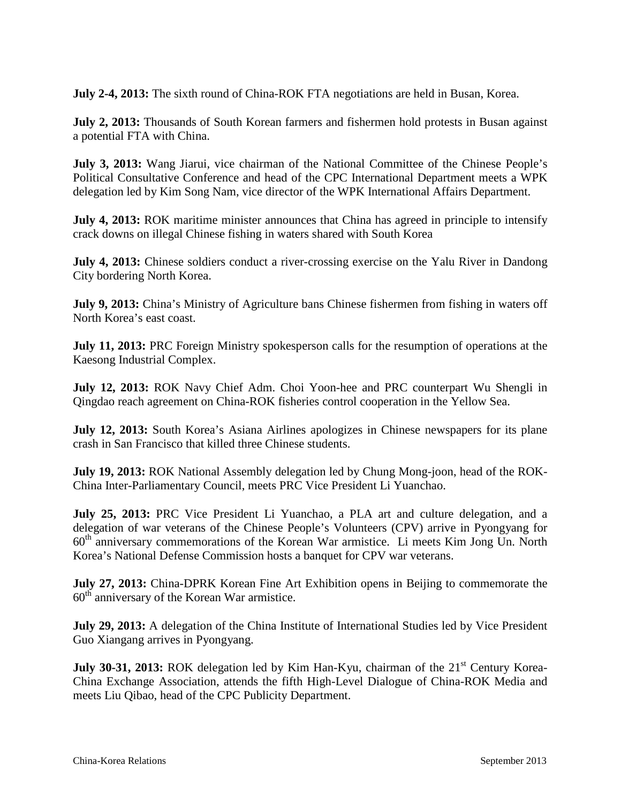**July 2-4, 2013:** The sixth round of China-ROK FTA negotiations are held in Busan, Korea.

**July 2, 2013:** Thousands of South Korean farmers and fishermen hold protests in Busan against a potential FTA with China.

**July 3, 2013:** Wang Jiarui, vice chairman of the National Committee of the Chinese People's Political Consultative Conference and head of the CPC International Department meets a WPK delegation led by Kim Song Nam, vice director of the WPK International Affairs Department.

**July 4, 2013:** ROK maritime minister announces that China has agreed in principle to intensify crack downs on illegal Chinese fishing in waters shared with South Korea

**July 4, 2013:** Chinese soldiers conduct a river-crossing exercise on the Yalu River in Dandong City bordering North Korea.

**July 9, 2013:** China's Ministry of Agriculture bans Chinese fishermen from fishing in waters off North Korea's east coast.

**July 11, 2013:** PRC Foreign Ministry spokesperson calls for the resumption of operations at the Kaesong Industrial Complex.

**July 12, 2013:** ROK Navy Chief Adm. Choi Yoon-hee and PRC counterpart Wu Shengli in Qingdao reach agreement on China-ROK fisheries control cooperation in the Yellow Sea.

**July 12, 2013:** South Korea's Asiana Airlines apologizes in Chinese newspapers for its plane crash in San Francisco that killed three Chinese students.

**July 19, 2013:** ROK National Assembly delegation led by Chung Mong-joon, head of the ROK-China Inter-Parliamentary Council, meets PRC Vice President Li Yuanchao.

**July 25, 2013:** PRC Vice President Li Yuanchao, a PLA art and culture delegation, and a delegation of war veterans of the Chinese People's Volunteers (CPV) arrive in Pyongyang for 60<sup>th</sup> anniversary commemorations of the Korean War armistice. Li meets Kim Jong Un. North Korea's National Defense Commission hosts a banquet for CPV war veterans.

**July 27, 2013:** China-DPRK Korean Fine Art Exhibition opens in Beijing to commemorate the  $60<sup>th</sup>$  anniversary of the Korean War armistice.

**July 29, 2013:** A delegation of the China Institute of International Studies led by Vice President Guo Xiangang arrives in Pyongyang.

**July 30-31, 2013:** ROK delegation led by Kim Han-Kyu, chairman of the 21<sup>st</sup> Century Korea-China Exchange Association, attends the fifth High-Level Dialogue of China-ROK Media and meets Liu Qibao, head of the CPC Publicity Department.